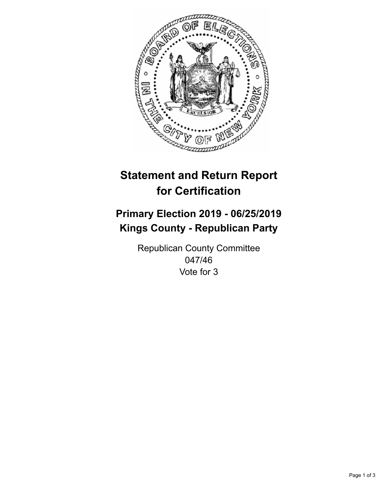

## **Statement and Return Report for Certification**

## **Primary Election 2019 - 06/25/2019 Kings County - Republican Party**

Republican County Committee 047/46 Vote for 3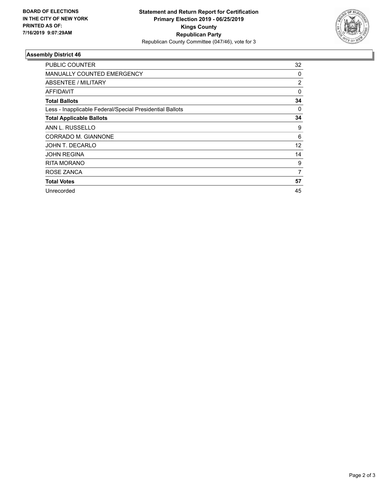

## **Assembly District 46**

| PUBLIC COUNTER                                           | 32 |
|----------------------------------------------------------|----|
| <b>MANUALLY COUNTED EMERGENCY</b>                        | 0  |
| ABSENTEE / MILITARY                                      | 2  |
| <b>AFFIDAVIT</b>                                         | 0  |
| <b>Total Ballots</b>                                     | 34 |
| Less - Inapplicable Federal/Special Presidential Ballots | 0  |
| <b>Total Applicable Ballots</b>                          | 34 |
| ANN L. RUSSELLO                                          | 9  |
| CORRADO M. GIANNONE                                      | 6  |
| JOHN T. DECARLO                                          | 12 |
| <b>JOHN REGINA</b>                                       | 14 |
| <b>RITA MORANO</b>                                       | 9  |
| ROSE ZANCA                                               | 7  |
| <b>Total Votes</b>                                       | 57 |
| Unrecorded                                               | 45 |